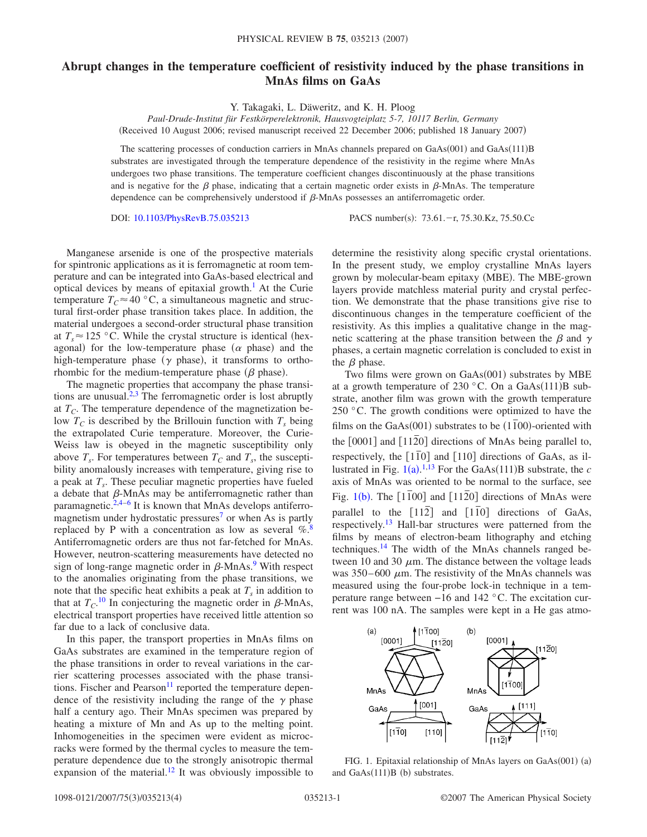## **Abrupt changes in the temperature coefficient of resistivity induced by the phase transitions in MnAs films on GaAs**

Y. Takagaki, L. Däweritz, and K. H. Ploog

*Paul-Drude-Institut für Festkörperelektronik, Hausvogteiplatz 5-7, 10117 Berlin, Germany* (Received 10 August 2006; revised manuscript received 22 December 2006; published 18 January 2007)

The scattering processes of conduction carriers in MnAs channels prepared on GaAs(001) and GaAs(111)B substrates are investigated through the temperature dependence of the resistivity in the regime where MnAs undergoes two phase transitions. The temperature coefficient changes discontinuously at the phase transitions and is negative for the  $\beta$  phase, indicating that a certain magnetic order exists in  $\beta$ -MnAs. The temperature dependence can be comprehensively understood if  $\beta$ -MnAs possesses an antiferromagetic order.

DOI: [10.1103/PhysRevB.75.035213](http://dx.doi.org/10.1103/PhysRevB.75.035213)

: 73.61.-r, 75.30.Kz, 75.50.Cc

Manganese arsenide is one of the prospective materials for spintronic applications as it is ferromagnetic at room temperature and can be integrated into GaAs-based electrical and optical devices by means of epitaxial growth.<sup>1</sup> At the Curie temperature  $T_c \approx 40$  °C, a simultaneous magnetic and structural first-order phase transition takes place. In addition, the material undergoes a second-order structural phase transition at  $T_s \approx 125$  °C. While the crystal structure is identical (hexagonal) for the low-temperature phase  $(\alpha$  phase) and the high-temperature phase ( $\gamma$  phase), it transforms to orthorhombic for the medium-temperature phase  $(\beta$  phase).

The magnetic properties that accompany the phase transitions are unusual. $2,3$  $2,3$  The ferromagnetic order is lost abruptly at  $T_c$ . The temperature dependence of the magnetization below  $T_c$  is described by the Brillouin function with  $T_s$  being the extrapolated Curie temperature. Moreover, the Curie-Weiss law is obeyed in the magnetic susceptibility only above  $T_s$ . For temperatures between  $T_c$  and  $T_s$ , the susceptibility anomalously increases with temperature, giving rise to a peak at  $T_s$ . These peculiar magnetic properties have fueled a debate that  $\beta$ -MnAs may be antiferromagnetic rather than paramagnetic. $2,4-6$  $2,4-6$  $2,4-6$  It is known that MnAs develops antiferromagnetism under hydrostatic pressures<sup>7</sup> or when As is partly replaced by P with a concentration as low as several  $\%$ . Antiferromagnetic orders are thus not far-fetched for MnAs. However, neutron-scattering measurements have detected no sign of long-range magnetic order in  $\beta$ -MnAs.<sup>9</sup> With respect to the anomalies originating from the phase transitions, we note that the specific heat exhibits a peak at  $T<sub>s</sub>$  in addition to that at  $T_{C}$ <sup>[10](#page-3-8)</sup> In conjecturing the magnetic order in  $\beta$ -MnAs, electrical transport properties have received little attention so far due to a lack of conclusive data.

In this paper, the transport properties in MnAs films on GaAs substrates are examined in the temperature region of the phase transitions in order to reveal variations in the carrier scattering processes associated with the phase transitions. Fischer and Pearson<sup>11</sup> reported the temperature dependence of the resistivity including the range of the  $\gamma$  phase half a century ago. Their MnAs specimen was prepared by heating a mixture of Mn and As up to the melting point. Inhomogeneities in the specimen were evident as microcracks were formed by the thermal cycles to measure the temperature dependence due to the strongly anisotropic thermal expansion of the material.<sup>12</sup> It was obviously impossible to determine the resistivity along specific crystal orientations. In the present study, we employ crystalline MnAs layers grown by molecular-beam epitaxy (MBE). The MBE-grown layers provide matchless material purity and crystal perfection. We demonstrate that the phase transitions give rise to discontinuous changes in the temperature coefficient of the resistivity. As this implies a qualitative change in the magnetic scattering at the phase transition between the  $\beta$  and  $\gamma$ phases, a certain magnetic correlation is concluded to exist in the  $\beta$  phase.

Two films were grown on GaAs(001) substrates by MBE at a growth temperature of 230 °C. On a GaAs $(111)B$  substrate, another film was grown with the growth temperature 250 °C. The growth conditions were optimized to have the films on the GaAs(001) substrates to be (1<sup>1</sup><sup>00</sup>)-oriented with the  $[0001]$  and  $[11\overline{2}0]$  directions of MnAs being parallel to, respectively, the [110] and [110] directions of GaAs, as illustrated in Fig.  $1(a)$  $1(a)$ .<sup>[1,](#page-3-0)[13](#page-3-11)</sup> For the GaAs(111)B substrate, the *c* axis of MnAs was oriented to be normal to the surface, see Fig.  $1(b)$  $1(b)$ . The  $[1\overline{1}00]$  and  $[11\overline{2}0]$  directions of MnAs were parallel to the  $\lceil 112 \rceil$  and  $\lceil 110 \rceil$  directions of GaAs, respectively.<sup>13</sup> Hall-bar structures were patterned from the films by means of electron-beam lithography and etching techniques.<sup>14</sup> The width of the MnAs channels ranged between 10 and 30  $\mu$ m. The distance between the voltage leads was  $350-600 \mu m$ . The resistivity of the MnAs channels was measured using the four-probe lock-in technique in a temperature range between −16 and 142 °C. The excitation current was 100 nA. The samples were kept in a He gas atmo-

<span id="page-0-0"></span>

FIG. 1. Epitaxial relationship of MnAs layers on GaAs(001) (a) and GaAs(111)B (b) substrates.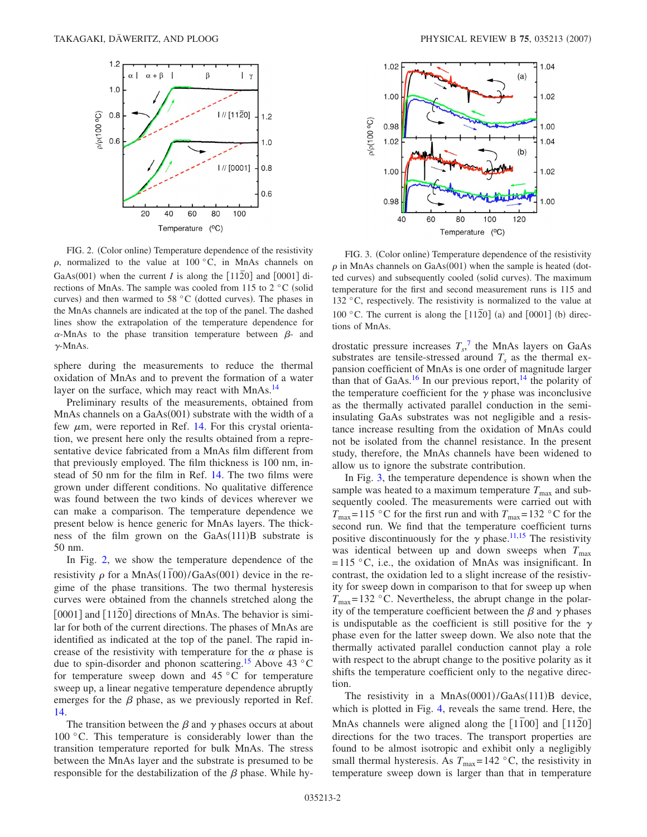<span id="page-1-0"></span>

FIG. 2. (Color online) Temperature dependence of the resistivity  $\rho$ , normalized to the value at 100 °C, in MnAs channels on GaAs(001) when the current *I* is along the  $[11\overline{2}0]$  and  $[0001]$  directions of MnAs. The sample was cooled from 115 to  $2 \degree$ C (solid curves) and then warmed to 58 °C (dotted curves). The phases in the MnAs channels are indicated at the top of the panel. The dashed lines show the extrapolation of the temperature dependence for  $\alpha$ -MnAs to the phase transition temperature between  $\beta$ - and  $\gamma$ -MnAs.

sphere during the measurements to reduce the thermal oxidation of MnAs and to prevent the formation of a water layer on the surface, which may react with MnAs.<sup>14</sup>

Preliminary results of the measurements, obtained from MnAs channels on a GaAs(001) substrate with the width of a few  $\mu$ m, were reported in Ref. [14.](#page-3-12) For this crystal orientation, we present here only the results obtained from a representative device fabricated from a MnAs film different from that previously employed. The film thickness is 100 nm, instead of 50 nm for the film in Ref. [14.](#page-3-12) The two films were grown under different conditions. No qualitative difference was found between the two kinds of devices wherever we can make a comparison. The temperature dependence we present below is hence generic for MnAs layers. The thickness of the film grown on the GaAs(111)B substrate is 50 nm.

In Fig. [2,](#page-1-0) we show the temperature dependence of the resistivity  $\rho$  for a MnAs $(1\bar{1}00)/\text{GaAs}(001)$  device in the regime of the phase transitions. The two thermal hysteresis curves were obtained from the channels stretched along the [0001] and [1120] directions of MnAs. The behavior is similar for both of the current directions. The phases of MnAs are identified as indicated at the top of the panel. The rapid increase of the resistivity with temperature for the  $\alpha$  phase is due to spin-disorder and phonon scattering.<sup>15</sup> Above 43 °C for temperature sweep down and  $45\text{ °C}$  for temperature sweep up, a linear negative temperature dependence abruptly emerges for the  $\beta$  phase, as we previously reported in Ref. [14.](#page-3-12)

The transition between the  $\beta$  and  $\gamma$  phases occurs at about 100 °C. This temperature is considerably lower than the transition temperature reported for bulk MnAs. The stress between the MnAs layer and the substrate is presumed to be responsible for the destabilization of the  $\beta$  phase. While hy-

<span id="page-1-1"></span>

FIG. 3. (Color online) Temperature dependence of the resistivity  $\rho$  in MnAs channels on GaAs(001) when the sample is heated (dotted curves) and subsequently cooled (solid curves). The maximum temperature for the first and second measurement runs is 115 and 132 °C, respectively. The resistivity is normalized to the value at 100 °C. The current is along the  $[11\overline{2}0]$  (a) and  $[0001]$  (b) directions of MnAs.

drostatic pressure increases  $T_s$ ,<sup>[7](#page-3-5)</sup> the MnAs layers on GaAs substrates are tensile-stressed around  $T_s$  as the thermal expansion coefficient of MnAs is one order of magnitude larger than that of GaAs.<sup>16</sup> In our previous report,<sup>14</sup> the polarity of the temperature coefficient for the  $\gamma$  phase was inconclusive as the thermally activated parallel conduction in the semiinsulating GaAs substrates was not negligible and a resistance increase resulting from the oxidation of MnAs could not be isolated from the channel resistance. In the present study, therefore, the MnAs channels have been widened to allow us to ignore the substrate contribution.

In Fig. [3,](#page-1-1) the temperature dependence is shown when the sample was heated to a maximum temperature  $T_{\text{max}}$  and subsequently cooled. The measurements were carried out with  $T_{\text{max}}$ =115 °C for the first run and with  $T_{\text{max}}$ =132 °C for the second run. We find that the temperature coefficient turns positive discontinuously for the  $\gamma$  phase.<sup>11[,15](#page-3-13)</sup> The resistivity was identical between up and down sweeps when  $T_{\text{max}}$  $=115$  °C, i.e., the oxidation of MnAs was insignificant. In contrast, the oxidation led to a slight increase of the resistivity for sweep down in comparison to that for sweep up when  $T_{\text{max}}$ =132 °C. Nevertheless, the abrupt change in the polarity of the temperature coefficient between the  $\beta$  and  $\gamma$  phases is undisputable as the coefficient is still positive for the  $\gamma$ phase even for the latter sweep down. We also note that the thermally activated parallel conduction cannot play a role with respect to the abrupt change to the positive polarity as it shifts the temperature coefficient only to the negative direction.

The resistivity in a MnAs $(0001)/GaAs(111)B$  device, which is plotted in Fig. [4,](#page-2-0) reveals the same trend. Here, the MnAs channels were aligned along the  $\lceil 1\bar{1}00 \rceil$  and  $\lceil 11\bar{2}0 \rceil$ directions for the two traces. The transport properties are found to be almost isotropic and exhibit only a negligibly small thermal hysteresis. As  $T_{\text{max}}=142 \text{ °C}$ , the resistivity in temperature sweep down is larger than that in temperature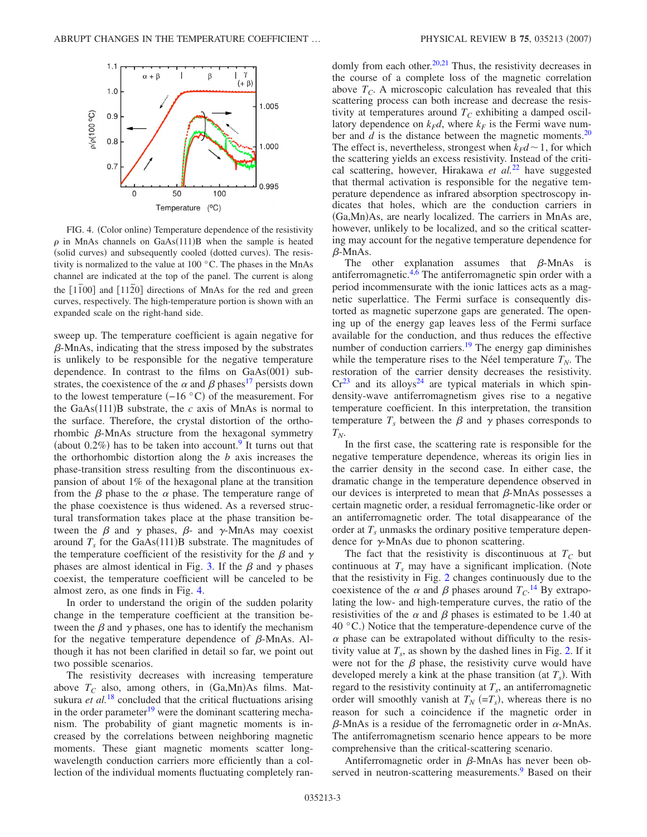<span id="page-2-0"></span>

FIG. 4. (Color online) Temperature dependence of the resistivity  $\rho$  in MnAs channels on GaAs(111)B when the sample is heated (solid curves) and subsequently cooled (dotted curves). The resistivity is normalized to the value at 100 °C. The phases in the MnAs channel are indicated at the top of the panel. The current is along the  $\lceil 1\overline{1}00 \rceil$  and  $\lceil 11\overline{2}0 \rceil$  directions of MnAs for the red and green curves, respectively. The high-temperature portion is shown with an expanded scale on the right-hand side.

sweep up. The temperature coefficient is again negative for  $\beta$ -MnAs, indicating that the stress imposed by the substrates is unlikely to be responsible for the negative temperature dependence. In contrast to the films on  $GaAs(001)$  substrates, the coexistence of the  $\alpha$  and  $\beta$  phases<sup>17</sup> persists down to the lowest temperature  $(-16 \degree C)$  of the measurement. For the GaAs $(111)$ B substrate, the *c* axis of MnAs is normal to the surface. Therefore, the crystal distortion of the orthorhombic  $\beta$ -MnAs structure from the hexagonal symmetry (about  $0.2\%$ ) has to be taken into account.<sup>9</sup> It turns out that the orthorhombic distortion along the *b* axis increases the phase-transition stress resulting from the discontinuous expansion of about 1% of the hexagonal plane at the transition from the  $\beta$  phase to the  $\alpha$  phase. The temperature range of the phase coexistence is thus widened. As a reversed structural transformation takes place at the phase transition between the  $\beta$  and  $\gamma$  phases,  $\beta$ - and  $\gamma$ -MnAs may coexist around  $T_s$  for the GaAs(111)B substrate. The magnitudes of the temperature coefficient of the resistivity for the  $\beta$  and  $\gamma$ phases are almost identical in Fig. [3.](#page-1-1) If the  $\beta$  and  $\gamma$  phases coexist, the temperature coefficient will be canceled to be almost zero, as one finds in Fig. [4.](#page-2-0)

In order to understand the origin of the sudden polarity change in the temperature coefficient at the transition between the  $\beta$  and  $\gamma$  phases, one has to identify the mechanism for the negative temperature dependence of  $\beta$ -MnAs. Although it has not been clarified in detail so far, we point out two possible scenarios.

The resistivity decreases with increasing temperature above  $T_C$  also, among others, in  $(Ga, Mn)As$  films. Matsukura *et al.*<sup>[18](#page-3-16)</sup> concluded that the critical fluctuations arising in the order parameter $19$  were the dominant scattering mechanism. The probability of giant magnetic moments is increased by the correlations between neighboring magnetic moments. These giant magnetic moments scatter longwavelength conduction carriers more efficiently than a collection of the individual moments fluctuating completely randomly from each other. $20,21$  $20,21$  Thus, the resistivity decreases in the course of a complete loss of the magnetic correlation above  $T_c$ . A microscopic calculation has revealed that this scattering process can both increase and decrease the resistivity at temperatures around  $T_C$  exhibiting a damped oscillatory dependence on  $k_F d$ , where  $k_F$  is the Fermi wave number and  $d$  is the distance between the magnetic moments.<sup>20</sup> The effect is, nevertheless, strongest when  $k_Fd \sim 1$ , for which the scattering yields an excess resistivity. Instead of the critical scattering, however, Hirakawa *et al.*[22](#page-3-20) have suggested that thermal activation is responsible for the negative temperature dependence as infrared absorption spectroscopy indicates that holes, which are the conduction carriers in (Ga,Mn)As, are nearly localized. The carriers in MnAs are, however, unlikely to be localized, and so the critical scattering may account for the negative temperature dependence for  $\beta$ -MnAs.

The other explanation assumes that  $\beta$ -MnAs is antiferromagnetic. $4,6$  $4,6$  The antiferromagnetic spin order with a period incommensurate with the ionic lattices acts as a magnetic superlattice. The Fermi surface is consequently distorted as magnetic superzone gaps are generated. The opening up of the energy gap leaves less of the Fermi surface available for the conduction, and thus reduces the effective number of conduction carriers.<sup>19</sup> The energy gap diminishes while the temperature rises to the Néel temperature  $T_N$ . The restoration of the carrier density decreases the resistivity.  $Cr^{23}$  $Cr^{23}$  $Cr^{23}$  and its alloys<sup>24</sup> are typical materials in which spindensity-wave antiferromagnetism gives rise to a negative temperature coefficient. In this interpretation, the transition temperature  $T<sub>s</sub>$  between the  $\beta$  and  $\gamma$  phases corresponds to  $T_N$ .

In the first case, the scattering rate is responsible for the negative temperature dependence, whereas its origin lies in the carrier density in the second case. In either case, the dramatic change in the temperature dependence observed in our devices is interpreted to mean that  $\beta$ -MnAs possesses a certain magnetic order, a residual ferromagnetic-like order or an antiferromagnetic order. The total disappearance of the order at  $T<sub>s</sub>$  unmasks the ordinary positive temperature dependence for  $\gamma$ -MnAs due to phonon scattering.

The fact that the resistivity is discontinuous at  $T_c$  but continuous at  $T_s$  may have a significant implication. (Note that the resistivity in Fig. [2](#page-1-0) changes continuously due to the coexistence of the  $\alpha$  and  $\beta$  phases around  $T_{C}$ <sup>[14](#page-3-12)</sup> By extrapolating the low- and high-temperature curves, the ratio of the resistivities of the  $\alpha$  and  $\beta$  phases is estimated to be 1.40 at  $40^{\circ}$ C.) Notice that the temperature-dependence curve of the  $\alpha$  phase can be extrapolated without difficulty to the resistivity value at  $T_s$ , as shown by the dashed lines in Fig. [2.](#page-1-0) If it were not for the  $\beta$  phase, the resistivity curve would have developed merely a kink at the phase transition (at  $T_s$ ). With regard to the resistivity continuity at  $T_s$ , an antiferromagnetic order will smoothly vanish at  $T_N$  (= $T_s$ ), whereas there is no reason for such a coincidence if the magnetic order in  $\beta$ -MnAs is a residue of the ferromagnetic order in  $\alpha$ -MnAs. The antiferromagnetism scenario hence appears to be more comprehensive than the critical-scattering scenario.

Antiferromagnetic order in  $\beta$ -MnAs has never been observed in neutron-scattering measurements.<sup>9</sup> Based on their